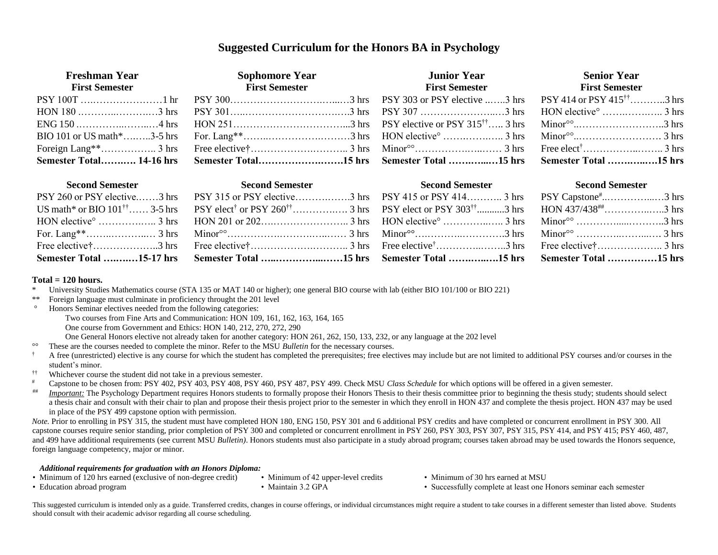# **Suggested Curriculum for the Honors BA in Psychology**

| <b>Freshman Year</b>  | <b>Sophomore Year</b>                                                                     | <b>Junior Year</b>    | <b>Senior Year</b>    |
|-----------------------|-------------------------------------------------------------------------------------------|-----------------------|-----------------------|
| <b>First Semester</b> | <b>First Semester</b>                                                                     | <b>First Semester</b> | <b>First Semester</b> |
|                       |                                                                                           |                       |                       |
|                       |                                                                                           |                       |                       |
|                       |                                                                                           |                       |                       |
|                       |                                                                                           |                       |                       |
|                       |                                                                                           |                       |                       |
|                       | Semester Total 14-16 hrs Semester Total15 hrs Semester Total 15 hrs Semester Total 15 hrs |                       |                       |
|                       |                                                                                           |                       |                       |

| <b>Second Semester</b> Second Semester | <b>Second Semester</b> Second 2.                                                           | <b>Second Semester</b> | <b>Second Semester</b> |
|----------------------------------------|--------------------------------------------------------------------------------------------|------------------------|------------------------|
|                                        |                                                                                            |                        |                        |
|                                        |                                                                                            |                        |                        |
|                                        |                                                                                            |                        |                        |
|                                        |                                                                                            |                        |                        |
|                                        |                                                                                            |                        |                        |
|                                        | Semester Total 15-17 hrs Semester Total 15 hrs Semester Total 15 hrs Semester Total 15 hrs |                        |                        |

## **Total = 120 hours.**

\* University Studies Mathematics course (STA 135 or MAT 140 or higher); one general BIO course with lab (either BIO 101/100 or BIO 221)

\*\* Foreign language must culminate in proficiency throught the 201 level

° Honors Seminar electives needed from the following categories:

Two courses from Fine Arts and Communication: HON 109, 161, 162, 163, 164, 165

One course from Government and Ethics: HON 140, 212, 270, 272, 290

One General Honors elective not already taken for another category: HON 261, 262, 150, 133, 232, or any language at the 202 level

<sup>oo</sup> These are the courses needed to complete the minor. Refer to the MSU *Bulletin* for the necessary courses.

 $\uparrow$  A free (unrestricted) elective is any course for which the student has completed the prerequisites; free electives may include but are not limited to additional PSY courses and/or courses in the student's minor.

<sup>††</sup> Whichever course the student did not take in a previous semester.<br> $\frac{p}{r}$  Canstone to be chosen from:  $DSV 402 DSV 403 DSV 408 DSV 408$ 

<sup>#</sup> Capstone to be chosen from: PSY 402, PSY 403, PSY 408, PSY 460, PSY 487, PSY 499. Check MSU *Class Schedule* for which options will be offered in a given semester.<br># Important: The Beverlology Department requires Honor

*Important:* The Psychology Department requires Honors students to formally propose their Honors Thesis to their thesis committee prior to beginning the thesis study; students should select a thesis chair and consult with their chair to plan and propose their thesis project prior to the semester in which they enroll in HON 437 and complete the thesis project. HON 437 may be used in place of the PSY 499 capstone option with permission.

*Note*. Prior to enrolling in PSY 315, the student must have completed HON 180, ENG 150, PSY 301 and 6 additional PSY credits and have completed or concurrent enrollment in PSY 300. All capstone courses require senior standing, prior completion of PSY 300 and completed or concurrent enrollment in PSY 260, PSY 303, PSY 307, PSY 315, PSY 414, and PSY 415; PSY 460, 487, and 499 have additional requirements (see current MSU *Bulletin*). Honors students must also participate in a study abroad program; courses taken abroad may be used towards the Honors sequence, foreign language competency, major or minor.

### *Additional requirements for graduation with an Honors Diploma:*

- Minimum of 120 hrs earned (exclusive of non-degree credit) Minimum of 42 upper-level credits Minimum of 30 hrs earned at MSU
	-
- 
- 
- Education abroad program Maintain 3.2 GPA Successfully complete at least one Honors seminar each semester

This suggested curriculum is intended only as a guide. Transferred credits, changes in course offerings, or individual circumstances might require a student to take courses in a different semester than listed above. Students should consult with their academic advisor regarding all course scheduling.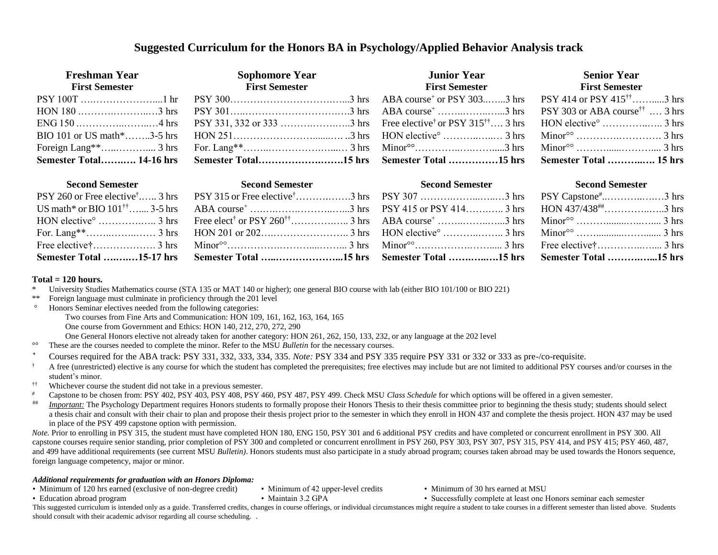# **Suggested Curriculum for the Honors BA in Psychology/Applied Behavior Analysis track**

| <b>Freshman Year</b>  | <b>Sophomore Year</b>                                                                       | <b>Junior Year</b>    | <b>Senior Year</b>    |
|-----------------------|---------------------------------------------------------------------------------------------|-----------------------|-----------------------|
| <b>First Semester</b> | <b>First Semester</b>                                                                       | <b>First Semester</b> | <b>First Semester</b> |
|                       |                                                                                             |                       |                       |
|                       |                                                                                             |                       |                       |
|                       |                                                                                             |                       |                       |
|                       |                                                                                             |                       |                       |
|                       |                                                                                             |                       |                       |
|                       | Semester Total 14-16 hrs Semester Total15 hrs Semester Total  15 hrs Semester Total  15 hrs |                       |                       |

| <b>Second Semester</b> Second Semester | <b>Second Semester</b> Second Semester                                                     | <b>Second Semester</b> | <b>Second Semester</b> |
|----------------------------------------|--------------------------------------------------------------------------------------------|------------------------|------------------------|
|                                        |                                                                                            |                        |                        |
|                                        |                                                                                            |                        |                        |
|                                        |                                                                                            |                        |                        |
|                                        |                                                                                            |                        |                        |
|                                        |                                                                                            |                        |                        |
|                                        | Semester Total 15-17 hrs Semester Total 15 hrs Semester Total 15 hrs Semester Total 15 hrs |                        |                        |

### **Total = 120 hours.**

\* University Studies Mathematics course (STA 135 or MAT 140 or higher); one general BIO course with lab (either BIO 101/100 or BIO 221)<br>\*\* Foreign language must culminate in proficiency through the 201 level

Foreign language must culminate in proficiency through the 201 level

° Honors Seminar electives needed from the following categories:

Two courses from Fine Arts and Communication: HON 109, 161, 162, 163, 164, 165

One course from Government and Ethics: HON 140, 212, 270, 272, 290

One General Honors elective not already taken for another category: HON 261, 262, 150, 133, 232, or any language at the 202 level

°° These are the courses needed to complete the minor. Refer to the MSU *Bulletin* for the necessary courses.

<sup>+</sup> Courses required for the ABA track: PSY 331, 332, 333, 334, 335. *Note:* PSY 334 and PSY 335 require PSY 331 or 332 or 333 as pre-/co-requisite.

† A free (unrestricted) elective is any course for which the student has completed the prerequisites; free electives may include but are not limited to additional PSY courses and/or courses in the student's minor.

†† Whichever course the student did not take in a previous semester.

<sup>#</sup> Capstone to be chosen from: PSY 402, PSY 403, PSY 408, PSY 460, PSY 487, PSY 499. Check MSU *Class Schedule* for which options will be offered in a given semester.<br><sup>##</sup> *Important:* The Psychology Department requires H

*Important:* The Psychology Department requires Honors students to formally propose their Honors Thesis to their thesis committee prior to beginning the thesis study; students should select a thesis chair and consult with their chair to plan and propose their thesis project prior to the semester in which they enroll in HON 437 and complete the thesis project. HON 437 may be used in place of the PSY 499 capstone option with permission.

*Note.* Prior to enrolling in PSY 315, the student must have completed HON 180, ENG 150, PSY 301 and 6 additional PSY credits and have completed or concurrent enrollment in PSY 300. All capstone courses require senior standing, prior completion of PSY 300 and completed or concurrent enrollment in PSY 260, PSY 303, PSY 307, PSY 315, PSY 414, and PSY 415; PSY 460, 487, and 499 have additional requirements (see current MSU *Bulletin)*. Honors students must also participate in a study abroad program; courses taken abroad may be used towards the Honors sequence, foreign language competency, major or minor.

## *Additional requirements for graduation with an Honors Diploma:*

- Minimum of 120 hrs earned (exclusive of non-degree credit) Minimum of 42 upper-level credits Minimum of 30 hrs earned at MSU
- 
- 
- 

• Education abroad program • Maintain 3.2 GPA • Successfully complete at least one Honors seminar each semester

This suggested curriculum is intended only as a guide. Transferred credits, changes in course offerings, or individual circumstances might require a student to take courses in a different semester than listed above. Students should consult with their academic advisor regarding all course scheduling. .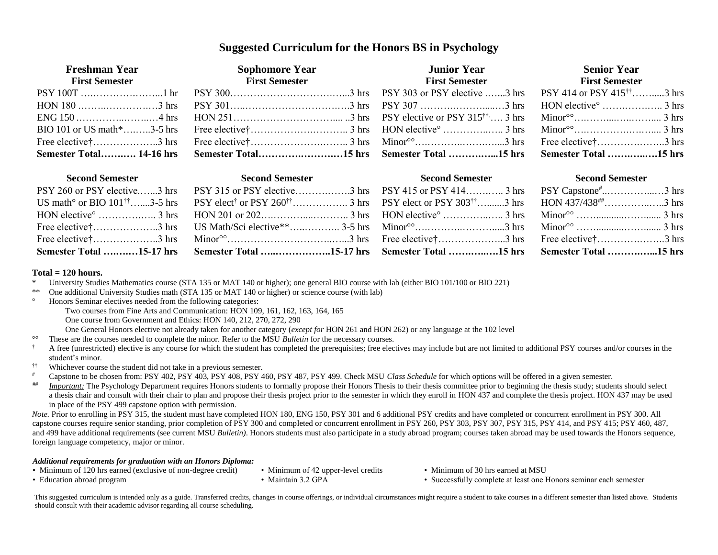# **Suggested Curriculum for the Honors BS in Psychology**

| <b>Freshman Year</b>  | <b>Sophomore Year</b>                                                                                                                                                            | <b>Junior Year</b>    | <b>Senior Year</b>    |
|-----------------------|----------------------------------------------------------------------------------------------------------------------------------------------------------------------------------|-----------------------|-----------------------|
| <b>First Semester</b> | <b>First Semester</b>                                                                                                                                                            | <b>First Semester</b> | <b>First Semester</b> |
|                       |                                                                                                                                                                                  |                       |                       |
|                       |                                                                                                                                                                                  |                       |                       |
|                       |                                                                                                                                                                                  |                       |                       |
|                       |                                                                                                                                                                                  |                       |                       |
|                       |                                                                                                                                                                                  |                       |                       |
|                       | Semester Total 14-16 hrs Semester Total15 hrs Semester Total metal incomparations 15 hrs Semester Total metal incomparations of the Semester Total metal incomparations of the S |                       |                       |

## **Second Semester Second Semester Second Semester Second Semester**

| Semester Total 15-17 hrs Semester Total 15-17 hrs Semester Total 15 hrs Semester Total 15 hrs |  |
|-----------------------------------------------------------------------------------------------|--|
|                                                                                               |  |
|                                                                                               |  |
|                                                                                               |  |
|                                                                                               |  |
|                                                                                               |  |
|                                                                                               |  |

## **Total = 120 hours.**

\* University Studies Mathematics course (STA 135 or MAT 140 or higher); one general BIO course with lab (either BIO 101/100 or BIO 221)

\*\* One additional University Studies math (STA 135 or MAT 140 or higher) or science course (with lab)<br>Proper Seminar electives needed from the following categories:

° Honors Seminar electives needed from the following categories:

Two courses from Fine Arts and Communication: HON 109, 161, 162, 163, 164, 165

One course from Government and Ethics: HON 140, 212, 270, 272, 290

One General Honors elective not already taken for another category (*except for* HON 261 and HON 262) or any language at the 102 level

<sup>°°</sup> These are the courses needed to complete the minor. Refer to the MSU *Bulletin* for the necessary courses.

† A free (unrestricted) elective is any course for which the student has completed the prerequisites; free electives may include but are not limited to additional PSY courses and/or courses in the student's minor.

†† Whichever course the student did not take in a previous semester.

<sup>#</sup> Capstone to be chosen from: PSY 402, PSY 403, PSY 408, PSY 460, PSY 487, PSY 499. Check MSU *Class Schedule* for which options will be offered in a given semester.<br># Important: The Psychology Department requires Honors

*Important:* The Psychology Department requires Honors students to formally propose their Honors Thesis to their thesis committee prior to beginning the thesis study; students should select a thesis chair and consult with their chair to plan and propose their thesis project prior to the semester in which they enroll in HON 437 and complete the thesis project. HON 437 may be used in place of the PSY 499 capstone option with permission.

*Note.* Prior to enrolling in PSY 315, the student must have completed HON 180, ENG 150, PSY 301 and 6 additional PSY credits and have completed or concurrent enrollment in PSY 300. All capstone courses require senior standing, prior completion of PSY 300 and completed or concurrent enrollment in PSY 260, PSY 303, PSY 307, PSY 315, PSY 414, and PSY 415; PSY 460, 487, and 499 have additional requirements (see current MSU *Bulletin*). Honors students must also participate in a study abroad program; courses taken abroad may be used towards the Honors sequence, foreign language competency, major or minor.

## *Additional requirements for graduation with an Honors Diploma:*

- Minimum of 120 hrs earned (exclusive of non-degree credit) Minimum of 42 upper-level credits Minimum of 30 hrs earned at MSU
	-
- 
- Education abroad program Maintain 3.2 GPA Successfully complete at least one Honors seminar each semester

This suggested curriculum is intended only as a guide. Transferred credits, changes in course offerings, or individual circumstances might require a student to take courses in a different semester than listed above. Studen should consult with their academic advisor regarding all course scheduling.